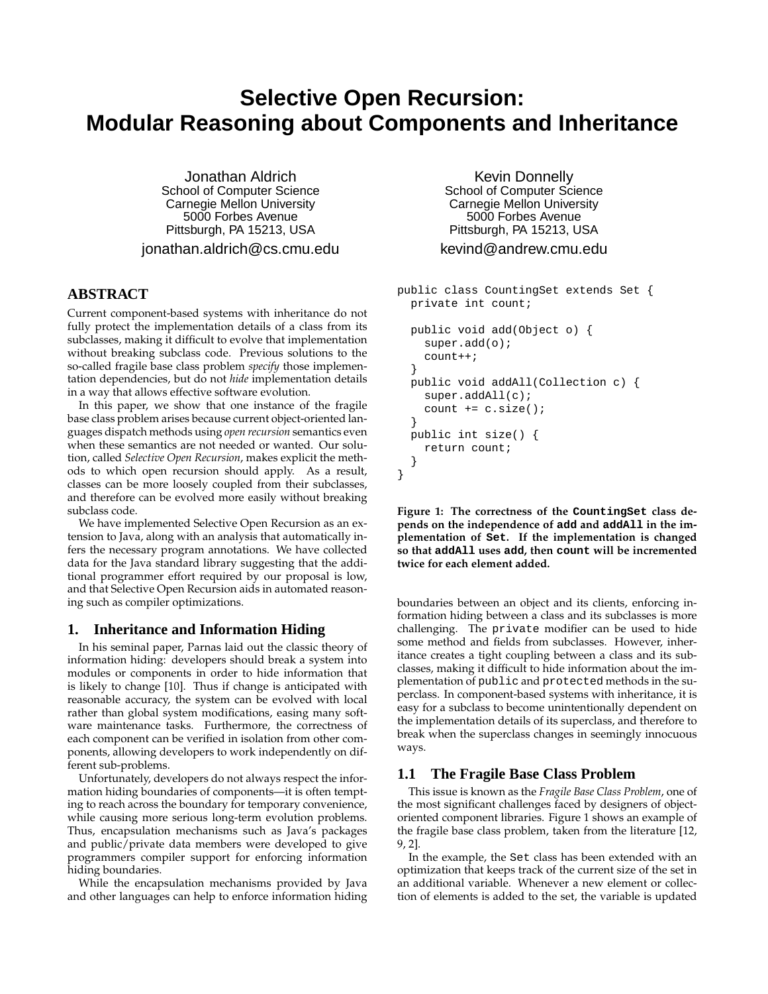# **Selective Open Recursion: Modular Reasoning about Components and Inheritance**

Jonathan Aldrich School of Computer Science Carnegie Mellon University 5000 Forbes Avenue Pittsburgh, PA 15213, USA

jonathan.aldrich@cs.cmu.edu

## **ABSTRACT**

Current component-based systems with inheritance do not fully protect the implementation details of a class from its subclasses, making it difficult to evolve that implementation without breaking subclass code. Previous solutions to the so-called fragile base class problem *specify* those implementation dependencies, but do not *hide* implementation details in a way that allows effective software evolution.

In this paper, we show that one instance of the fragile base class problem arises because current object-oriented languages dispatch methods using *open recursion* semantics even when these semantics are not needed or wanted. Our solution, called *Selective Open Recursion*, makes explicit the methods to which open recursion should apply. As a result, classes can be more loosely coupled from their subclasses, and therefore can be evolved more easily without breaking subclass code.

We have implemented Selective Open Recursion as an extension to Java, along with an analysis that automatically infers the necessary program annotations. We have collected data for the Java standard library suggesting that the additional programmer effort required by our proposal is low, and that Selective Open Recursion aids in automated reasoning such as compiler optimizations.

## **1. Inheritance and Information Hiding**

In his seminal paper, Parnas laid out the classic theory of information hiding: developers should break a system into modules or components in order to hide information that is likely to change [10]. Thus if change is anticipated with reasonable accuracy, the system can be evolved with local rather than global system modifications, easing many software maintenance tasks. Furthermore, the correctness of each component can be verified in isolation from other components, allowing developers to work independently on different sub-problems.

Unfortunately, developers do not always respect the information hiding boundaries of components—it is often tempting to reach across the boundary for temporary convenience, while causing more serious long-term evolution problems. Thus, encapsulation mechanisms such as Java's packages and public/private data members were developed to give programmers compiler support for enforcing information hiding boundaries.

While the encapsulation mechanisms provided by Java and other languages can help to enforce information hiding

Kevin Donnelly School of Computer Science Carnegie Mellon University 5000 Forbes Avenue Pittsburgh, PA 15213, USA

## kevind@andrew.cmu.edu

```
public class CountingSet extends Set {
  private int count;
  public void add(Object o) {
    super.add(o);
    count++;
  }
  public void addAll(Collection c) {
    super.addAll(c);
    count += c.size();
  }
  public int size() {
    return count;
  }
}
```
**Figure 1: The correctness of the CountingSet class depends on the independence of add and addAll in the implementation of Set. If the implementation is changed so that addAll uses add, then count will be incremented twice for each element added.**

boundaries between an object and its clients, enforcing information hiding between a class and its subclasses is more challenging. The private modifier can be used to hide some method and fields from subclasses. However, inheritance creates a tight coupling between a class and its subclasses, making it difficult to hide information about the implementation of public and protected methods in the superclass. In component-based systems with inheritance, it is easy for a subclass to become unintentionally dependent on the implementation details of its superclass, and therefore to break when the superclass changes in seemingly innocuous ways.

#### **1.1 The Fragile Base Class Problem**

This issue is known as the *Fragile Base Class Problem*, one of the most significant challenges faced by designers of objectoriented component libraries. Figure 1 shows an example of the fragile base class problem, taken from the literature [12, 9, 2].

In the example, the Set class has been extended with an optimization that keeps track of the current size of the set in an additional variable. Whenever a new element or collection of elements is added to the set, the variable is updated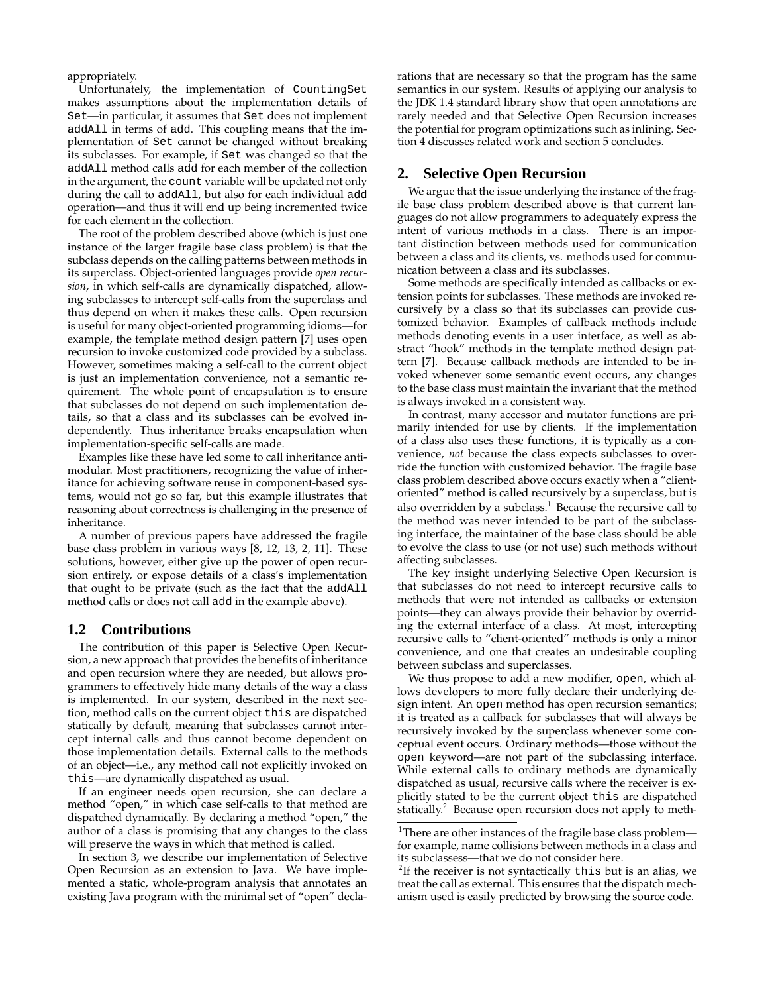appropriately.

Unfortunately, the implementation of CountingSet makes assumptions about the implementation details of Set—in particular, it assumes that Set does not implement addAll in terms of add. This coupling means that the implementation of Set cannot be changed without breaking its subclasses. For example, if Set was changed so that the addAll method calls add for each member of the collection in the argument, the count variable will be updated not only during the call to addAll, but also for each individual add operation—and thus it will end up being incremented twice for each element in the collection.

The root of the problem described above (which is just one instance of the larger fragile base class problem) is that the subclass depends on the calling patterns between methods in its superclass. Object-oriented languages provide *open recursion*, in which self-calls are dynamically dispatched, allowing subclasses to intercept self-calls from the superclass and thus depend on when it makes these calls. Open recursion is useful for many object-oriented programming idioms—for example, the template method design pattern [7] uses open recursion to invoke customized code provided by a subclass. However, sometimes making a self-call to the current object is just an implementation convenience, not a semantic requirement. The whole point of encapsulation is to ensure that subclasses do not depend on such implementation details, so that a class and its subclasses can be evolved independently. Thus inheritance breaks encapsulation when implementation-specific self-calls are made.

Examples like these have led some to call inheritance antimodular. Most practitioners, recognizing the value of inheritance for achieving software reuse in component-based systems, would not go so far, but this example illustrates that reasoning about correctness is challenging in the presence of inheritance.

A number of previous papers have addressed the fragile base class problem in various ways [8, 12, 13, 2, 11]. These solutions, however, either give up the power of open recursion entirely, or expose details of a class's implementation that ought to be private (such as the fact that the addAll method calls or does not call add in the example above).

#### **1.2 Contributions**

The contribution of this paper is Selective Open Recursion, a new approach that provides the benefits of inheritance and open recursion where they are needed, but allows programmers to effectively hide many details of the way a class is implemented. In our system, described in the next section, method calls on the current object this are dispatched statically by default, meaning that subclasses cannot intercept internal calls and thus cannot become dependent on those implementation details. External calls to the methods of an object—i.e., any method call not explicitly invoked on this—are dynamically dispatched as usual.

If an engineer needs open recursion, she can declare a method "open," in which case self-calls to that method are dispatched dynamically. By declaring a method "open," the author of a class is promising that any changes to the class will preserve the ways in which that method is called.

In section 3, we describe our implementation of Selective Open Recursion as an extension to Java. We have implemented a static, whole-program analysis that annotates an existing Java program with the minimal set of "open" declarations that are necessary so that the program has the same semantics in our system. Results of applying our analysis to the JDK 1.4 standard library show that open annotations are rarely needed and that Selective Open Recursion increases the potential for program optimizations such as inlining. Section 4 discusses related work and section 5 concludes.

#### **2. Selective Open Recursion**

We argue that the issue underlying the instance of the fragile base class problem described above is that current languages do not allow programmers to adequately express the intent of various methods in a class. There is an important distinction between methods used for communication between a class and its clients, vs. methods used for communication between a class and its subclasses.

Some methods are specifically intended as callbacks or extension points for subclasses. These methods are invoked recursively by a class so that its subclasses can provide customized behavior. Examples of callback methods include methods denoting events in a user interface, as well as abstract "hook" methods in the template method design pattern [7]. Because callback methods are intended to be invoked whenever some semantic event occurs, any changes to the base class must maintain the invariant that the method is always invoked in a consistent way.

In contrast, many accessor and mutator functions are primarily intended for use by clients. If the implementation of a class also uses these functions, it is typically as a convenience, *not* because the class expects subclasses to override the function with customized behavior. The fragile base class problem described above occurs exactly when a "clientoriented" method is called recursively by a superclass, but is also overridden by a subclass.<sup>1</sup> Because the recursive call to the method was never intended to be part of the subclassing interface, the maintainer of the base class should be able to evolve the class to use (or not use) such methods without affecting subclasses.

The key insight underlying Selective Open Recursion is that subclasses do not need to intercept recursive calls to methods that were not intended as callbacks or extension points—they can always provide their behavior by overriding the external interface of a class. At most, intercepting recursive calls to "client-oriented" methods is only a minor convenience, and one that creates an undesirable coupling between subclass and superclasses.

We thus propose to add a new modifier, open, which allows developers to more fully declare their underlying design intent. An open method has open recursion semantics; it is treated as a callback for subclasses that will always be recursively invoked by the superclass whenever some conceptual event occurs. Ordinary methods—those without the open keyword—are not part of the subclassing interface. While external calls to ordinary methods are dynamically dispatched as usual, recursive calls where the receiver is explicitly stated to be the current object this are dispatched statically.<sup>2</sup> Because open recursion does not apply to meth-

<sup>&</sup>lt;sup>1</sup>There are other instances of the fragile base class problem for example, name collisions between methods in a class and its subclassess—that we do not consider here.

 $2$ If the receiver is not syntactically this but is an alias, we treat the call as external. This ensures that the dispatch mechanism used is easily predicted by browsing the source code.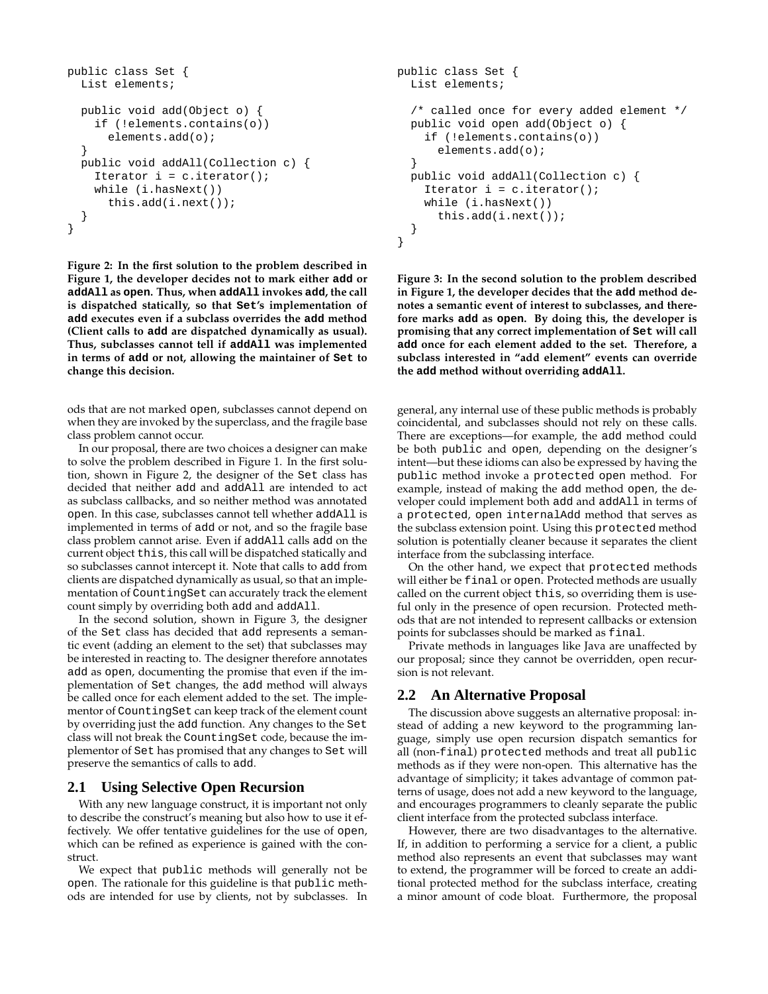```
public class Set {
 List elements;
 public void add(Object o) {
    if (!elements.contains(o))
      elements.add(o);
  }
 public void addAll(Collection c) {
    Iterator i = c. iterator();
    while (i.hasNext())
      this.add(i.next());
  }
}
```
**Figure 2: In the first solution to the problem described in Figure 1, the developer decides not to mark either add or addAll as open. Thus, when addAll invokes add, the call is dispatched statically, so that Set's implementation of add executes even if a subclass overrides the add method (Client calls to add are dispatched dynamically as usual). Thus, subclasses cannot tell if addAll was implemented in terms of add or not, allowing the maintainer of Set to change this decision.**

ods that are not marked open, subclasses cannot depend on when they are invoked by the superclass, and the fragile base class problem cannot occur.

In our proposal, there are two choices a designer can make to solve the problem described in Figure 1. In the first solution, shown in Figure 2, the designer of the Set class has decided that neither add and addAll are intended to act as subclass callbacks, and so neither method was annotated open. In this case, subclasses cannot tell whether addAll is implemented in terms of add or not, and so the fragile base class problem cannot arise. Even if addAll calls add on the current object this, this call will be dispatched statically and so subclasses cannot intercept it. Note that calls to add from clients are dispatched dynamically as usual, so that an implementation of CountingSet can accurately track the element count simply by overriding both add and addAll.

In the second solution, shown in Figure 3, the designer of the Set class has decided that add represents a semantic event (adding an element to the set) that subclasses may be interested in reacting to. The designer therefore annotates add as open, documenting the promise that even if the implementation of Set changes, the add method will always be called once for each element added to the set. The implementor of CountingSet can keep track of the element count by overriding just the add function. Any changes to the Set class will not break the CountingSet code, because the implementor of Set has promised that any changes to Set will preserve the semantics of calls to add.

#### **2.1 Using Selective Open Recursion**

With any new language construct, it is important not only to describe the construct's meaning but also how to use it effectively. We offer tentative guidelines for the use of open, which can be refined as experience is gained with the construct.

We expect that public methods will generally not be open. The rationale for this guideline is that public methods are intended for use by clients, not by subclasses. In

```
public class Set {
  List elements;
  /* called once for every added element */
 public void open add(Object o) {
    if (!elements.contains(o))
      elements.add(o);
  }
 public void addAll(Collection c) {
    Iterator i = c. iterator();
    while (i.hasNext())
      this.add(i.next());
  }
}
```
**Figure 3: In the second solution to the problem described in Figure 1, the developer decides that the add method denotes a semantic event of interest to subclasses, and therefore marks add as open. By doing this, the developer is promising that any correct implementation of Set will call add once for each element added to the set. Therefore, a subclass interested in "add element" events can override the add method without overriding addAll.**

general, any internal use of these public methods is probably coincidental, and subclasses should not rely on these calls. There are exceptions—for example, the add method could be both public and open, depending on the designer's intent—but these idioms can also be expressed by having the public method invoke a protected open method. For example, instead of making the add method open, the developer could implement both add and addAll in terms of a protected, open internalAdd method that serves as the subclass extension point. Using this protected method solution is potentially cleaner because it separates the client interface from the subclassing interface.

On the other hand, we expect that protected methods will either be final or open. Protected methods are usually called on the current object this, so overriding them is useful only in the presence of open recursion. Protected methods that are not intended to represent callbacks or extension points for subclasses should be marked as final.

Private methods in languages like Java are unaffected by our proposal; since they cannot be overridden, open recursion is not relevant.

#### **2.2 An Alternative Proposal**

The discussion above suggests an alternative proposal: instead of adding a new keyword to the programming language, simply use open recursion dispatch semantics for all (non-final) protected methods and treat all public methods as if they were non-open. This alternative has the advantage of simplicity; it takes advantage of common patterns of usage, does not add a new keyword to the language, and encourages programmers to cleanly separate the public client interface from the protected subclass interface.

However, there are two disadvantages to the alternative. If, in addition to performing a service for a client, a public method also represents an event that subclasses may want to extend, the programmer will be forced to create an additional protected method for the subclass interface, creating a minor amount of code bloat. Furthermore, the proposal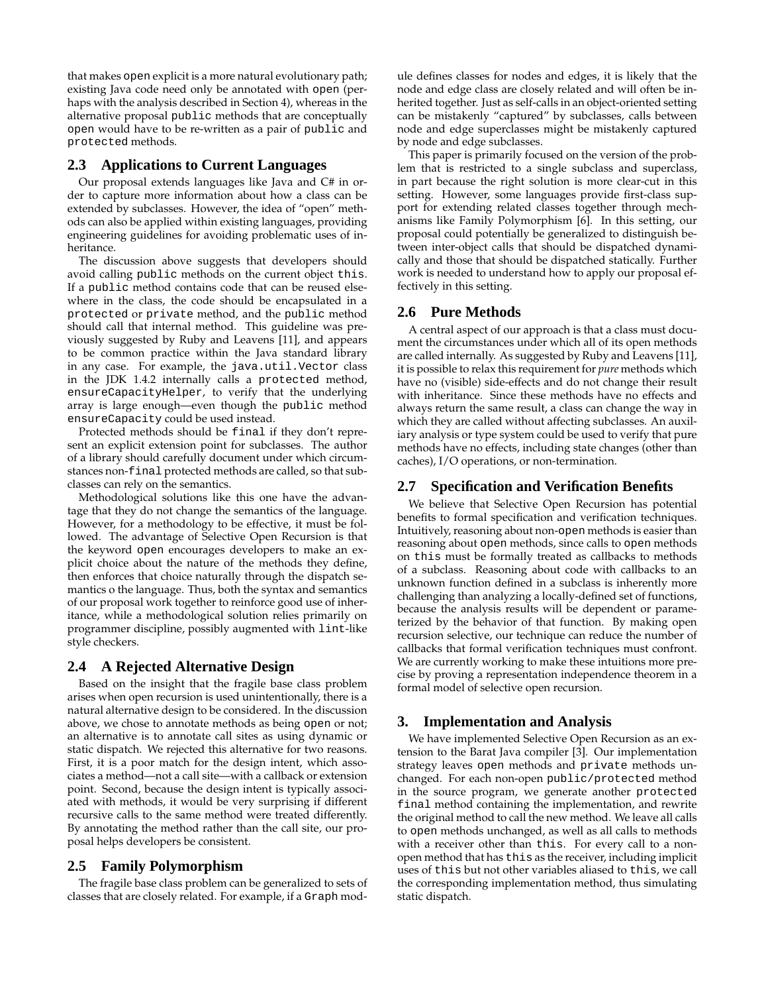that makes open explicit is a more natural evolutionary path; existing Java code need only be annotated with open (perhaps with the analysis described in Section 4), whereas in the alternative proposal public methods that are conceptually open would have to be re-written as a pair of public and protected methods.

## **2.3 Applications to Current Languages**

Our proposal extends languages like Java and C# in order to capture more information about how a class can be extended by subclasses. However, the idea of "open" methods can also be applied within existing languages, providing engineering guidelines for avoiding problematic uses of inheritance.

The discussion above suggests that developers should avoid calling public methods on the current object this. If a public method contains code that can be reused elsewhere in the class, the code should be encapsulated in a protected or private method, and the public method should call that internal method. This guideline was previously suggested by Ruby and Leavens [11], and appears to be common practice within the Java standard library in any case. For example, the java.util.Vector class in the JDK 1.4.2 internally calls a protected method, ensureCapacityHelper, to verify that the underlying array is large enough—even though the public method ensureCapacity could be used instead.

Protected methods should be final if they don't represent an explicit extension point for subclasses. The author of a library should carefully document under which circumstances non-final protected methods are called, so that subclasses can rely on the semantics.

Methodological solutions like this one have the advantage that they do not change the semantics of the language. However, for a methodology to be effective, it must be followed. The advantage of Selective Open Recursion is that the keyword open encourages developers to make an explicit choice about the nature of the methods they define, then enforces that choice naturally through the dispatch semantics o the language. Thus, both the syntax and semantics of our proposal work together to reinforce good use of inheritance, while a methodological solution relies primarily on programmer discipline, possibly augmented with lint-like style checkers.

#### **2.4 A Rejected Alternative Design**

Based on the insight that the fragile base class problem arises when open recursion is used unintentionally, there is a natural alternative design to be considered. In the discussion above, we chose to annotate methods as being open or not; an alternative is to annotate call sites as using dynamic or static dispatch. We rejected this alternative for two reasons. First, it is a poor match for the design intent, which associates a method—not a call site—with a callback or extension point. Second, because the design intent is typically associated with methods, it would be very surprising if different recursive calls to the same method were treated differently. By annotating the method rather than the call site, our proposal helps developers be consistent.

#### **2.5 Family Polymorphism**

The fragile base class problem can be generalized to sets of classes that are closely related. For example, if a Graph module defines classes for nodes and edges, it is likely that the node and edge class are closely related and will often be inherited together. Just as self-calls in an object-oriented setting can be mistakenly "captured" by subclasses, calls between node and edge superclasses might be mistakenly captured by node and edge subclasses.

This paper is primarily focused on the version of the problem that is restricted to a single subclass and superclass, in part because the right solution is more clear-cut in this setting. However, some languages provide first-class support for extending related classes together through mechanisms like Family Polymorphism [6]. In this setting, our proposal could potentially be generalized to distinguish between inter-object calls that should be dispatched dynamically and those that should be dispatched statically. Further work is needed to understand how to apply our proposal effectively in this setting.

#### **2.6 Pure Methods**

A central aspect of our approach is that a class must document the circumstances under which all of its open methods are called internally. As suggested by Ruby and Leavens [11], it is possible to relax this requirement for *pure* methods which have no (visible) side-effects and do not change their result with inheritance. Since these methods have no effects and always return the same result, a class can change the way in which they are called without affecting subclasses. An auxiliary analysis or type system could be used to verify that pure methods have no effects, including state changes (other than caches), I/O operations, or non-termination.

## **2.7 Specification and Verification Benefits**

We believe that Selective Open Recursion has potential benefits to formal specification and verification techniques. Intuitively, reasoning about non-open methods is easier than reasoning about open methods, since calls to open methods on this must be formally treated as callbacks to methods of a subclass. Reasoning about code with callbacks to an unknown function defined in a subclass is inherently more challenging than analyzing a locally-defined set of functions, because the analysis results will be dependent or parameterized by the behavior of that function. By making open recursion selective, our technique can reduce the number of callbacks that formal verification techniques must confront. We are currently working to make these intuitions more precise by proving a representation independence theorem in a formal model of selective open recursion.

#### **3. Implementation and Analysis**

We have implemented Selective Open Recursion as an extension to the Barat Java compiler [3]. Our implementation strategy leaves open methods and private methods unchanged. For each non-open public/protected method in the source program, we generate another protected final method containing the implementation, and rewrite the original method to call the new method. We leave all calls to open methods unchanged, as well as all calls to methods with a receiver other than this. For every call to a nonopen method that has this as the receiver, including implicit uses of this but not other variables aliased to this, we call the corresponding implementation method, thus simulating static dispatch.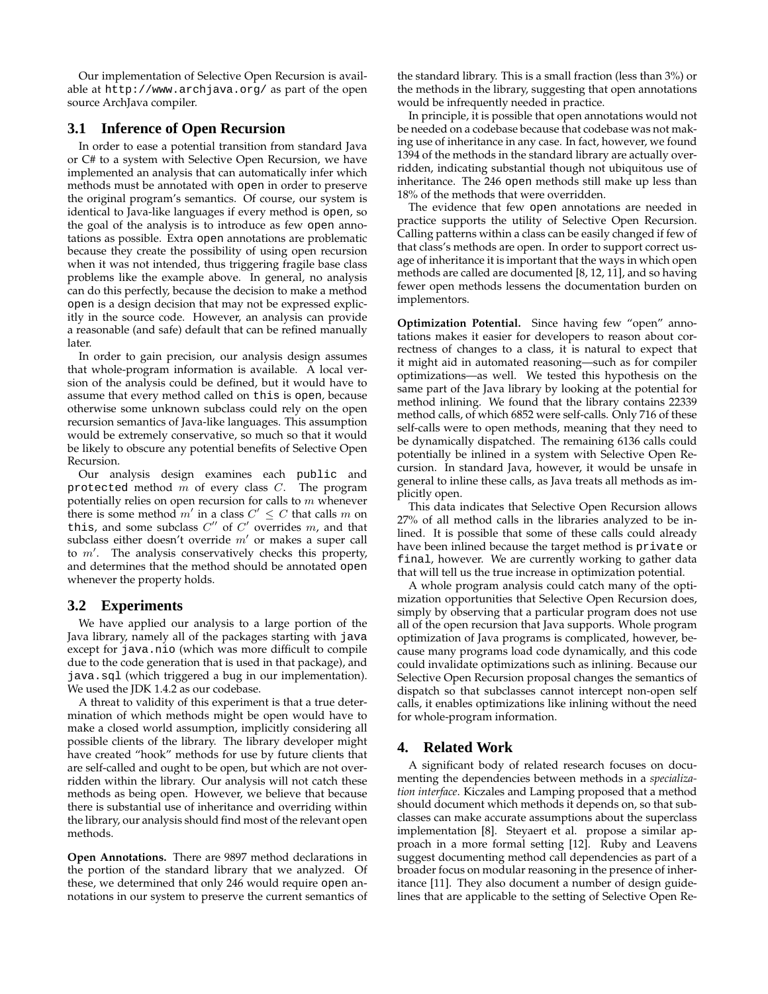Our implementation of Selective Open Recursion is available at http://www.archjava.org/ as part of the open source ArchJava compiler.

## **3.1 Inference of Open Recursion**

In order to ease a potential transition from standard Java or C# to a system with Selective Open Recursion, we have implemented an analysis that can automatically infer which methods must be annotated with open in order to preserve the original program's semantics. Of course, our system is identical to Java-like languages if every method is open, so the goal of the analysis is to introduce as few open annotations as possible. Extra open annotations are problematic because they create the possibility of using open recursion when it was not intended, thus triggering fragile base class problems like the example above. In general, no analysis can do this perfectly, because the decision to make a method open is a design decision that may not be expressed explicitly in the source code. However, an analysis can provide a reasonable (and safe) default that can be refined manually later.

In order to gain precision, our analysis design assumes that whole-program information is available. A local version of the analysis could be defined, but it would have to assume that every method called on this is open, because otherwise some unknown subclass could rely on the open recursion semantics of Java-like languages. This assumption would be extremely conservative, so much so that it would be likely to obscure any potential benefits of Selective Open Recursion.

Our analysis design examines each public and protected method  $m$  of every class  $C$ . The program potentially relies on open recursion for calls to m whenever there is some method  $m'$  in a class  $C' \leq C$  that calls m on this, and some subclass  $C''$  of  $C'$  overrides  $m$ , and that subclass either doesn't override  $m'$  or makes a super call to  $m'$ . The analysis conservatively checks this property, and determines that the method should be annotated open whenever the property holds.

## **3.2 Experiments**

We have applied our analysis to a large portion of the Java library, namely all of the packages starting with java except for java.nio (which was more difficult to compile due to the code generation that is used in that package), and java.sql (which triggered a bug in our implementation). We used the JDK 1.4.2 as our codebase.

A threat to validity of this experiment is that a true determination of which methods might be open would have to make a closed world assumption, implicitly considering all possible clients of the library. The library developer might have created "hook" methods for use by future clients that are self-called and ought to be open, but which are not overridden within the library. Our analysis will not catch these methods as being open. However, we believe that because there is substantial use of inheritance and overriding within the library, our analysis should find most of the relevant open methods.

**Open Annotations.** There are 9897 method declarations in the portion of the standard library that we analyzed. Of these, we determined that only 246 would require open annotations in our system to preserve the current semantics of the standard library. This is a small fraction (less than 3%) or the methods in the library, suggesting that open annotations would be infrequently needed in practice.

In principle, it is possible that open annotations would not be needed on a codebase because that codebase was not making use of inheritance in any case. In fact, however, we found 1394 of the methods in the standard library are actually overridden, indicating substantial though not ubiquitous use of inheritance. The 246 open methods still make up less than 18% of the methods that were overridden.

The evidence that few open annotations are needed in practice supports the utility of Selective Open Recursion. Calling patterns within a class can be easily changed if few of that class's methods are open. In order to support correct usage of inheritance it is important that the ways in which open methods are called are documented [8, 12, 11], and so having fewer open methods lessens the documentation burden on implementors.

**Optimization Potential.** Since having few "open" annotations makes it easier for developers to reason about correctness of changes to a class, it is natural to expect that it might aid in automated reasoning—such as for compiler optimizations—as well. We tested this hypothesis on the same part of the Java library by looking at the potential for method inlining. We found that the library contains 22339 method calls, of which 6852 were self-calls. Only 716 of these self-calls were to open methods, meaning that they need to be dynamically dispatched. The remaining 6136 calls could potentially be inlined in a system with Selective Open Recursion. In standard Java, however, it would be unsafe in general to inline these calls, as Java treats all methods as implicitly open.

This data indicates that Selective Open Recursion allows 27% of all method calls in the libraries analyzed to be inlined. It is possible that some of these calls could already have been inlined because the target method is private or final, however. We are currently working to gather data that will tell us the true increase in optimization potential.

A whole program analysis could catch many of the optimization opportunities that Selective Open Recursion does, simply by observing that a particular program does not use all of the open recursion that Java supports. Whole program optimization of Java programs is complicated, however, because many programs load code dynamically, and this code could invalidate optimizations such as inlining. Because our Selective Open Recursion proposal changes the semantics of dispatch so that subclasses cannot intercept non-open self calls, it enables optimizations like inlining without the need for whole-program information.

## **4. Related Work**

A significant body of related research focuses on documenting the dependencies between methods in a *specialization interface*. Kiczales and Lamping proposed that a method should document which methods it depends on, so that subclasses can make accurate assumptions about the superclass implementation [8]. Steyaert et al. propose a similar approach in a more formal setting [12]. Ruby and Leavens suggest documenting method call dependencies as part of a broader focus on modular reasoning in the presence of inheritance [11]. They also document a number of design guidelines that are applicable to the setting of Selective Open Re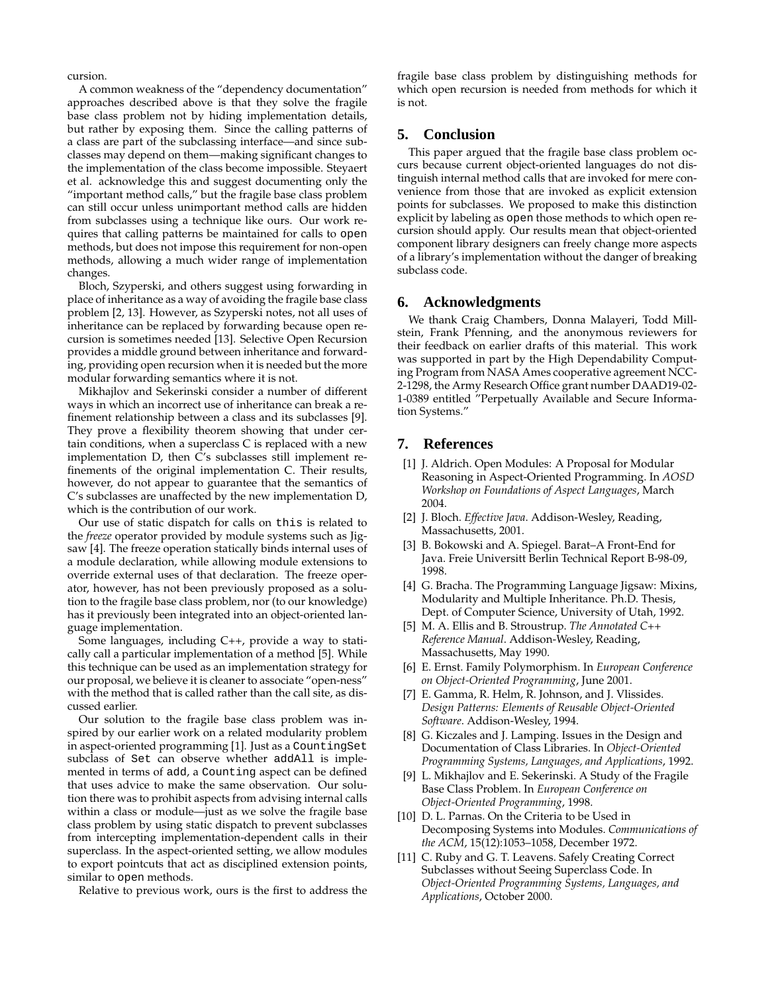cursion.

A common weakness of the "dependency documentation" approaches described above is that they solve the fragile base class problem not by hiding implementation details, but rather by exposing them. Since the calling patterns of a class are part of the subclassing interface—and since subclasses may depend on them—making significant changes to the implementation of the class become impossible. Steyaert et al. acknowledge this and suggest documenting only the "important method calls," but the fragile base class problem can still occur unless unimportant method calls are hidden from subclasses using a technique like ours. Our work requires that calling patterns be maintained for calls to open methods, but does not impose this requirement for non-open methods, allowing a much wider range of implementation changes.

Bloch, Szyperski, and others suggest using forwarding in place of inheritance as a way of avoiding the fragile base class problem [2, 13]. However, as Szyperski notes, not all uses of inheritance can be replaced by forwarding because open recursion is sometimes needed [13]. Selective Open Recursion provides a middle ground between inheritance and forwarding, providing open recursion when it is needed but the more modular forwarding semantics where it is not.

Mikhajlov and Sekerinski consider a number of different ways in which an incorrect use of inheritance can break a refinement relationship between a class and its subclasses [9]. They prove a flexibility theorem showing that under certain conditions, when a superclass C is replaced with a new implementation D, then C's subclasses still implement refinements of the original implementation C. Their results, however, do not appear to guarantee that the semantics of C's subclasses are unaffected by the new implementation D, which is the contribution of our work.

Our use of static dispatch for calls on this is related to the *freeze* operator provided by module systems such as Jigsaw [4]. The freeze operation statically binds internal uses of a module declaration, while allowing module extensions to override external uses of that declaration. The freeze operator, however, has not been previously proposed as a solution to the fragile base class problem, nor (to our knowledge) has it previously been integrated into an object-oriented language implementation.

Some languages, including C++, provide a way to statically call a particular implementation of a method [5]. While this technique can be used as an implementation strategy for our proposal, we believe it is cleaner to associate "open-ness" with the method that is called rather than the call site, as discussed earlier.

Our solution to the fragile base class problem was inspired by our earlier work on a related modularity problem in aspect-oriented programming [1]. Just as a CountingSet subclass of Set can observe whether addAll is implemented in terms of add, a Counting aspect can be defined that uses advice to make the same observation. Our solution there was to prohibit aspects from advising internal calls within a class or module—just as we solve the fragile base class problem by using static dispatch to prevent subclasses from intercepting implementation-dependent calls in their superclass. In the aspect-oriented setting, we allow modules to export pointcuts that act as disciplined extension points, similar to open methods.

Relative to previous work, ours is the first to address the

fragile base class problem by distinguishing methods for which open recursion is needed from methods for which it is not.

#### **5. Conclusion**

This paper argued that the fragile base class problem occurs because current object-oriented languages do not distinguish internal method calls that are invoked for mere convenience from those that are invoked as explicit extension points for subclasses. We proposed to make this distinction explicit by labeling as open those methods to which open recursion should apply. Our results mean that object-oriented component library designers can freely change more aspects of a library's implementation without the danger of breaking subclass code.

#### **6. Acknowledgments**

We thank Craig Chambers, Donna Malayeri, Todd Millstein, Frank Pfenning, and the anonymous reviewers for their feedback on earlier drafts of this material. This work was supported in part by the High Dependability Computing Program from NASA Ames cooperative agreement NCC-2-1298, the Army Research Office grant number DAAD19-02- 1-0389 entitled "Perpetually Available and Secure Information Systems."

## **7. References**

- [1] J. Aldrich. Open Modules: A Proposal for Modular Reasoning in Aspect-Oriented Programming. In *AOSD Workshop on Foundations of Aspect Languages*, March 2004.
- [2] J. Bloch. *Effective Java*. Addison-Wesley, Reading, Massachusetts, 2001.
- [3] B. Bokowski and A. Spiegel. Barat–A Front-End for Java. Freie Universitt Berlin Technical Report B-98-09, 1998.
- [4] G. Bracha. The Programming Language Jigsaw: Mixins, Modularity and Multiple Inheritance. Ph.D. Thesis, Dept. of Computer Science, University of Utah, 1992.
- [5] M. A. Ellis and B. Stroustrup. *The Annotated C++ Reference Manual*. Addison-Wesley, Reading, Massachusetts, May 1990.
- [6] E. Ernst. Family Polymorphism. In *European Conference on Object-Oriented Programming*, June 2001.
- [7] E. Gamma, R. Helm, R. Johnson, and J. Vlissides. *Design Patterns: Elements of Reusable Object-Oriented Software*. Addison-Wesley, 1994.
- [8] G. Kiczales and J. Lamping. Issues in the Design and Documentation of Class Libraries. In *Object-Oriented Programming Systems, Languages, and Applications*, 1992.
- [9] L. Mikhajlov and E. Sekerinski. A Study of the Fragile Base Class Problem. In *European Conference on Object-Oriented Programming*, 1998.
- [10] D. L. Parnas. On the Criteria to be Used in Decomposing Systems into Modules. *Communications of the ACM*, 15(12):1053–1058, December 1972.
- [11] C. Ruby and G. T. Leavens. Safely Creating Correct Subclasses without Seeing Superclass Code. In *Object-Oriented Programming Systems, Languages, and Applications*, October 2000.